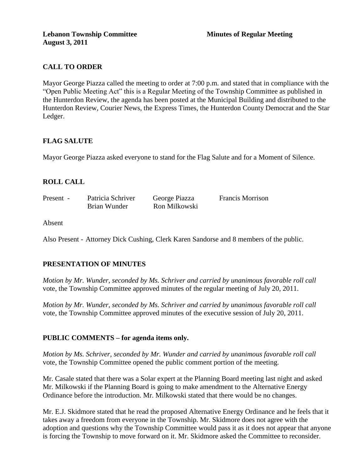# **CALL TO ORDER**

Mayor George Piazza called the meeting to order at 7:00 p.m. and stated that in compliance with the "Open Public Meeting Act" this is a Regular Meeting of the Township Committee as published in the Hunterdon Review, the agenda has been posted at the Municipal Building and distributed to the Hunterdon Review, Courier News, the Express Times, the Hunterdon County Democrat and the Star Ledger.

## **FLAG SALUTE**

Mayor George Piazza asked everyone to stand for the Flag Salute and for a Moment of Silence.

## **ROLL CALL**

| Present - | Patricia Schriver | George Piazza | <b>Francis Morrison</b> |
|-----------|-------------------|---------------|-------------------------|
|           | Brian Wunder      | Ron Milkowski |                         |

Absent

Also Present - Attorney Dick Cushing, Clerk Karen Sandorse and 8 members of the public.

## **PRESENTATION OF MINUTES**

*Motion by Mr. Wunder, seconded by Ms. Schriver and carried by unanimous favorable roll call*  vote, the Township Committee approved minutes of the regular meeting of July 20, 2011.

*Motion by Mr. Wunder, seconded by Ms. Schriver and carried by unanimous favorable roll call*  vote, the Township Committee approved minutes of the executive session of July 20, 2011.

### **PUBLIC COMMENTS – for agenda items only.**

*Motion by Ms. Schriver, seconded by Mr. Wunder and carried by unanimous favorable roll call*  vote, the Township Committee opened the public comment portion of the meeting.

Mr. Casale stated that there was a Solar expert at the Planning Board meeting last night and asked Mr. Milkowski if the Planning Board is going to make amendment to the Alternative Energy Ordinance before the introduction. Mr. Milkowski stated that there would be no changes.

Mr. E.J. Skidmore stated that he read the proposed Alternative Energy Ordinance and he feels that it takes away a freedom from everyone in the Township. Mr. Skidmore does not agree with the adoption and questions why the Township Committee would pass it as it does not appear that anyone is forcing the Township to move forward on it. Mr. Skidmore asked the Committee to reconsider.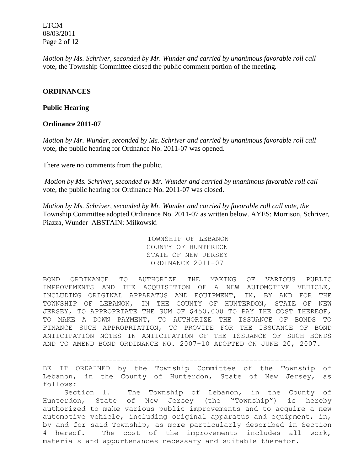LTCM 08/03/2011 Page 2 of 12

*Motion by Ms. Schriver, seconded by Mr. Wunder and carried by unanimous favorable roll call*  vote, the Township Committee closed the public comment portion of the meeting.

#### **ORDINANCES –**

#### **Public Hearing**

#### **Ordinance 2011-07**

*Motion by Mr. Wunder, seconded by Ms. Schriver and carried by unanimous favorable roll call*  vote*,* the public hearing for Ordnance No. 2011-07 was opened.

There were no comments from the public.

*Motion by Ms. Schriver, seconded by Mr. Wunder and carried by unanimous favorable roll call*  vote, the public hearing for Ordinance No. 2011-07 was closed.

*Motion by Ms. Schriver, seconded by Mr. Wunder and carried by favorable roll call vote, the* Township Committee adopted Ordinance No. 2011-07 as written below. AYES: Morrison, Schriver, Piazza, Wunder ABSTAIN: Milkowski

> TOWNSHIP OF LEBANON COUNTY OF HUNTERDON STATE OF NEW JERSEY ORDINANCE 2011-07

BOND ORDINANCE TO AUTHORIZE THE MAKING OF VARIOUS PUBLIC IMPROVEMENTS AND THE ACQUISITION OF A NEW AUTOMOTIVE VEHICLE, INCLUDING ORIGINAL APPARATUS AND EQUIPMENT, IN, BY AND FOR THE TOWNSHIP OF LEBANON, IN THE COUNTY OF HUNTERDON, STATE OF NEW JERSEY, TO APPROPRIATE THE SUM OF \$450,000 TO PAY THE COST THEREOF, TO MAKE A DOWN PAYMENT, TO AUTHORIZE THE ISSUANCE OF BONDS TO FINANCE SUCH APPROPRIATION, TO PROVIDE FOR THE ISSUANCE OF BOND ANTICIPATION NOTES IN ANTICIPATION OF THE ISSUANCE OF SUCH BONDS AND TO AMEND BOND ORDINANCE NO. 2007-10 ADOPTED ON JUNE 20, 2007.

-------------------------------------------------

BE IT ORDAINED by the Township Committee of the Township of Lebanon, in the County of Hunterdon, State of New Jersey, as follows:

 Section l. The Township of Lebanon, in the County of Hunterdon, State of New Jersey (the "Township") is hereby authorized to make various public improvements and to acquire a new automotive vehicle, including original apparatus and equipment, in, by and for said Township, as more particularly described in Section 4 hereof. The cost of the improvements includes all work, materials and appurtenances necessary and suitable therefor.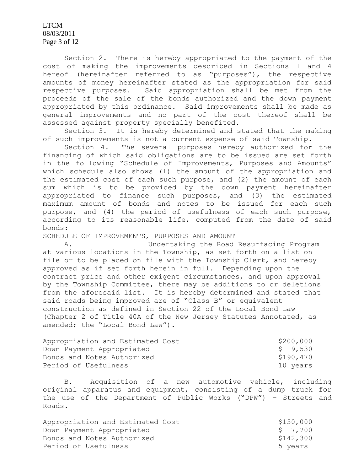LTCM 08/03/2011 Page 3 of 12

 Section 2. There is hereby appropriated to the payment of the cost of making the improvements described in Sections l and 4 hereof (hereinafter referred to as "purposes"), the respective amounts of money hereinafter stated as the appropriation for said respective purposes. Said appropriation shall be met from the proceeds of the sale of the bonds authorized and the down payment appropriated by this ordinance. Said improvements shall be made as general improvements and no part of the cost thereof shall be assessed against property specially benefited.

 Section 3. It is hereby determined and stated that the making of such improvements is not a current expense of said Township.

 Section 4. The several purposes hereby authorized for the financing of which said obligations are to be issued are set forth in the following "Schedule of Improvements, Purposes and Amounts" which schedule also shows (l) the amount of the appropriation and the estimated cost of each such purpose, and (2) the amount of each sum which is to be provided by the down payment hereinafter appropriated to finance such purposes, and (3) the estimated maximum amount of bonds and notes to be issued for each such purpose, and (4) the period of usefulness of each such purpose, according to its reasonable life, computed from the date of said bonds:

#### SCHEDULE OF IMPROVEMENTS, PURPOSES AND AMOUNT

 A. Undertaking the Road Resurfacing Program at various locations in the Township, as set forth on a list on file or to be placed on file with the Township Clerk, and hereby approved as if set forth herein in full. Depending upon the contract price and other exigent circumstances, and upon approval by the Township Committee, there may be additions to or deletions from the aforesaid list. It is hereby determined and stated that said roads being improved are of "Class B" or equivalent construction as defined in Section 22 of the Local Bond Law (Chapter 2 of Title 40A of the New Jersey Statutes Annotated, as amended; the "Local Bond Law").

| Appropriation and Estimated Cost | \$200,000 |
|----------------------------------|-----------|
| Down Payment Appropriated        | \$9,530   |
| Bonds and Notes Authorized       | \$190,470 |
| Period of Usefulness             | 10 years  |

 B. Acquisition of a new automotive vehicle, including original apparatus and equipment, consisting of a dump truck for the use of the Department of Public Works ("DPW") – Streets and Roads.

| Appropriation and Estimated Cost | \$150,000 |
|----------------------------------|-----------|
| Down Payment Appropriated        | \$7.700   |
| Bonds and Notes Authorized       | \$142,300 |
| Period of Usefulness             | 5 years   |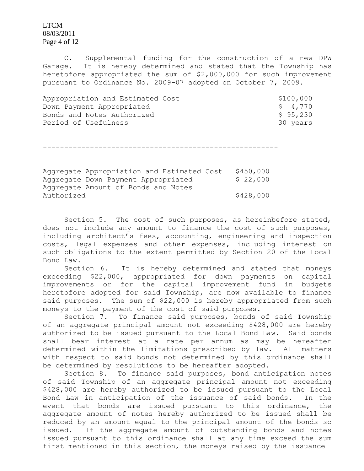LTCM 08/03/2011 Page 4 of 12

 C. Supplemental funding for the construction of a new DPW Garage. It is hereby determined and stated that the Township has heretofore appropriated the sum of \$2,000,000 for such improvement pursuant to Ordinance No. 2009-07 adopted on October 7, 2009.

Appropriation and Estimated Cost  $$100,000$ Down Payment Appropriated \$ 4,770 Bonds and Notes Authorized <br>
\$ 95,230 Period of Usefulness 30 years 30 years

-------------------------------------------------------

Aggregate Appropriation and Estimated Cost \$450,000 Aggregate Down Payment Appropriated \$ 22,000 Aggregate Amount of Bonds and Notes Authorized \$428,000

 Section 5. The cost of such purposes, as hereinbefore stated, does not include any amount to finance the cost of such purposes, including architect's fees, accounting, engineering and inspection costs, legal expenses and other expenses, including interest on such obligations to the extent permitted by Section 20 of the Local Bond Law.

 Section 6. It is hereby determined and stated that moneys exceeding \$22,000, appropriated for down payments on capital improvements or for the capital improvement fund in budgets heretofore adopted for said Township, are now available to finance said purposes. The sum of \$22,000 is hereby appropriated from such moneys to the payment of the cost of said purposes.

 Section 7. To finance said purposes, bonds of said Township of an aggregate principal amount not exceeding \$428,000 are hereby authorized to be issued pursuant to the Local Bond Law. Said bonds shall bear interest at a rate per annum as may be hereafter determined within the limitations prescribed by law. All matters with respect to said bonds not determined by this ordinance shall be determined by resolutions to be hereafter adopted.

 Section 8. To finance said purposes, bond anticipation notes of said Township of an aggregate principal amount not exceeding \$428,000 are hereby authorized to be issued pursuant to the Local Bond Law in anticipation of the issuance of said bonds. In the event that bonds are issued pursuant to this ordinance, the aggregate amount of notes hereby authorized to be issued shall be reduced by an amount equal to the principal amount of the bonds so issued. If the aggregate amount of outstanding bonds and notes issued pursuant to this ordinance shall at any time exceed the sum first mentioned in this section, the moneys raised by the issuance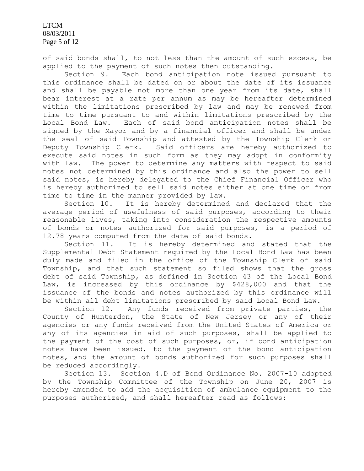LTCM 08/03/2011 Page 5 of 12

of said bonds shall, to not less than the amount of such excess, be applied to the payment of such notes then outstanding.

 Section 9. Each bond anticipation note issued pursuant to this ordinance shall be dated on or about the date of its issuance and shall be payable not more than one year from its date, shall bear interest at a rate per annum as may be hereafter determined within the limitations prescribed by law and may be renewed from time to time pursuant to and within limitations prescribed by the Local Bond Law. Each of said bond anticipation notes shall be signed by the Mayor and by a financial officer and shall be under the seal of said Township and attested by the Township Clerk or Deputy Township Clerk. Said officers are hereby authorized to execute said notes in such form as they may adopt in conformity with law. The power to determine any matters with respect to said notes not determined by this ordinance and also the power to sell said notes, is hereby delegated to the Chief Financial Officer who is hereby authorized to sell said notes either at one time or from time to time in the manner provided by law.

 Section 10. It is hereby determined and declared that the average period of usefulness of said purposes, according to their reasonable lives, taking into consideration the respective amounts of bonds or notes authorized for said purposes, is a period of 12.78 years computed from the date of said bonds.

 Section 11. It is hereby determined and stated that the Supplemental Debt Statement required by the Local Bond Law has been duly made and filed in the office of the Township Clerk of said Township, and that such statement so filed shows that the gross debt of said Township, as defined in Section 43 of the Local Bond Law, is increased by this ordinance by \$428,000 and that the issuance of the bonds and notes authorized by this ordinance will be within all debt limitations prescribed by said Local Bond Law.

 Section 12. Any funds received from private parties, the County of Hunterdon, the State of New Jersey or any of their agencies or any funds received from the United States of America or any of its agencies in aid of such purposes, shall be applied to the payment of the cost of such purposes, or, if bond anticipation notes have been issued, to the payment of the bond anticipation notes, and the amount of bonds authorized for such purposes shall be reduced accordingly.

 Section 13. Section 4.D of Bond Ordinance No. 2007-10 adopted by the Township Committee of the Township on June 20, 2007 is hereby amended to add the acquisition of ambulance equipment to the purposes authorized, and shall hereafter read as follows: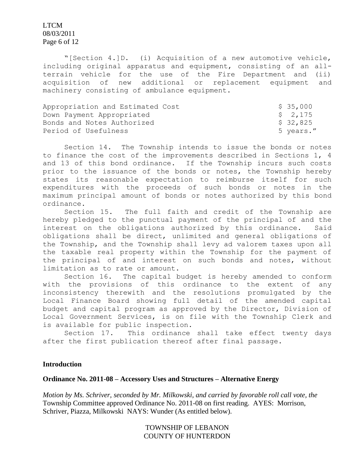LTCM 08/03/2011 Page 6 of 12

 "[Section 4.]D. (i) Acquisition of a new automotive vehicle, including original apparatus and equipment, consisting of an allterrain vehicle for the use of the Fire Department and (ii) acquisition of new additional or replacement equipment and machinery consisting of ambulance equipment.

| Appropriation and Estimated Cost | \$ 35,000 |
|----------------------------------|-----------|
| Down Payment Appropriated        | \$ 2,175  |
| Bonds and Notes Authorized       | \$ 32,825 |
| Period of Usefulness             | 5 years." |

 Section 14. The Township intends to issue the bonds or notes to finance the cost of the improvements described in Sections 1, 4 and 13 of this bond ordinance. If the Township incurs such costs prior to the issuance of the bonds or notes, the Township hereby states its reasonable expectation to reimburse itself for such expenditures with the proceeds of such bonds or notes in the maximum principal amount of bonds or notes authorized by this bond ordinance.

 Section 15. The full faith and credit of the Township are hereby pledged to the punctual payment of the principal of and the interest on the obligations authorized by this ordinance. Said obligations shall be direct, unlimited and general obligations of the Township, and the Township shall levy ad valorem taxes upon all the taxable real property within the Township for the payment of the principal of and interest on such bonds and notes, without limitation as to rate or amount.

 Section 16. The capital budget is hereby amended to conform with the provisions of this ordinance to the extent of any inconsistency therewith and the resolutions promulgated by the Local Finance Board showing full detail of the amended capital budget and capital program as approved by the Director, Division of Local Government Services, is on file with the Township Clerk and is available for public inspection.

 Section 17. This ordinance shall take effect twenty days after the first publication thereof after final passage.

#### **Introduction**

#### **Ordinance No. 2011-08 – Accessory Uses and Structures – Alternative Energy**

*Motion by Ms. Schriver, seconded by Mr. Milkowski, and carried by favorable roll call vote, the* Township Committee approved Ordinance No. 2011-08 on first reading. AYES: Morrison, Schriver, Piazza, Milkowski NAYS: Wunder (As entitled below).

> TOWNSHIP OF LEBANON COUNTY OF HUNTERDON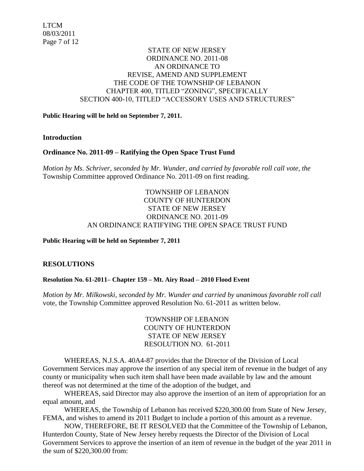## STATE OF NEW JERSEY ORDINANCE NO. 2011-08 AN ORDINANCE TO REVISE, AMEND AND SUPPLEMENT THE CODE OF THE TOWNSHIP OF LEBANON CHAPTER 400, TITLED "ZONING", SPECIFICALLY SECTION 400-10, TITLED "ACCESSORY USES AND STRUCTURES"

#### **Public Hearing will be held on September 7, 2011.**

#### **Introduction**

### **Ordinance No. 2011-09 – Ratifying the Open Space Trust Fund**

*Motion by Ms. Schriver, seconded by Mr. Wunder, and carried by favorable roll call vote, the* Township Committee approved Ordinance No. 2011-09 on first reading.

## TOWNSHIP OF LEBANON COUNTY OF HUNTERDON STATE OF NEW JERSEY ORDINANCE NO. 2011-09 AN ORDINANCE RATIFYING THE OPEN SPACE TRUST FUND

#### **Public Hearing will be held on September 7, 2011**

### **RESOLUTIONS**

### **Resolution No. 61-2011– Chapter 159 – Mt. Airy Road – 2010 Flood Event**

*Motion by Mr. Milkowski, seconded by Mr. Wunder and carried by unanimous favorable roll call*  vote, the Township Committee approved Resolution No. 61-2011 as written below.

> TOWNSHIP OF LEBANON COUNTY OF HUNTERDON STATE OF NEW JERSEY RESOLUTION NO. 61-2011

WHEREAS, N.J.S.A. 40A4-87 provides that the Director of the Division of Local Government Services may approve the insertion of any special item of revenue in the budget of any county or municipality when such item shall have been made available by law and the amount thereof was not determined at the time of the adoption of the budget, and

WHEREAS, said Director may also approve the insertion of an item of appropriation for an equal amount, and

WHEREAS, the Township of Lebanon has received \$220,300.00 from State of New Jersey, FEMA, and wishes to amend its 2011 Budget to include a portion of this amount as a revenue.

NOW, THEREFORE, BE IT RESOLVED that the Committee of the Township of Lebanon, Hunterdon County, State of New Jersey hereby requests the Director of the Division of Local Government Services to approve the insertion of an item of revenue in the budget of the year 2011 in the sum of \$220,300.00 from: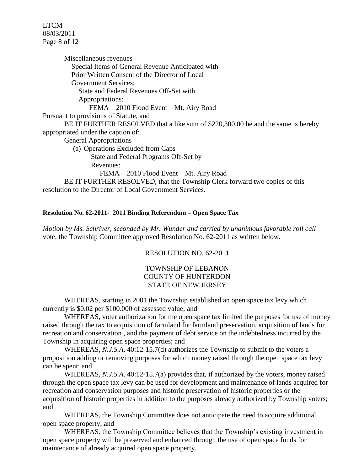LTCM 08/03/2011 Page 8 of 12

Miscellaneous revenues Special Items of General Revenue Anticipated with Prior Written Consent of the Director of Local Government Services: State and Federal Revenues Off-Set with Appropriations: FEMA – 2010 Flood Event – Mt. Airy Road Pursuant to provisions of Statute, and BE IT FURTHER RESOLVED that a like sum of \$220,300.00 be and the same is hereby appropriated under the caption of: General Appropriations (a) Operations Excluded from Caps State and Federal Programs Off-Set by Revenues: FEMA – 2010 Flood Event – Mt. Airy Road BE IT FURTHER RESOLVED, that the Township Clerk forward two copies of this resolution to the Director of Local Government Services.

#### **Resolution No. 62-2011- 2011 Binding Referendum – Open Space Tax**

*Motion by Ms. Schriver, seconded by Mr. Wunder and carried by unanimous favorable roll call*  vote, the Township Committee approved Resolution No. 62-2011 as written below.

RESOLUTION NO. 62-2011

## TOWNSHIP OF LEBANON COUNTY OF HUNTERDON STATE OF NEW JERSEY

WHEREAS, starting in 2001 the Township established an open space tax levy which currently is \$0.02 per \$100.000 of assessed value; and

WHEREAS, voter authorization for the open space tax limited the purposes for use of money raised through the tax to acquisition of farmland for farmland preservation, acquisition of lands for recreation and conservation , and the payment of debt service on the indebtedness incurred by the Township in acquiring open space properties; and

WHEREAS, *N.J.S.A*. 40:12-15.7(d) authorizes the Township to submit to the voters a proposition adding or removing purposes for which money raised through the open space tax levy can be spent; and

WHEREAS, *N.J.S.A*. 40:12-15.7(a) provides that, if authorized by the voters, money raised through the open space tax levy can be used for development and maintenance of lands acquired for recreation and conservation purposes and historic preservation of historic properties or the acquisition of historic properties in addition to the purposes already authorized by Township voters; and

WHEREAS, the Township Committee does not anticipate the need to acquire additional open space property; and

WHEREAS, the Township Committee believes that the Township's existing investment in open space property will be preserved and enhanced through the use of open space funds for maintenance of already acquired open space property.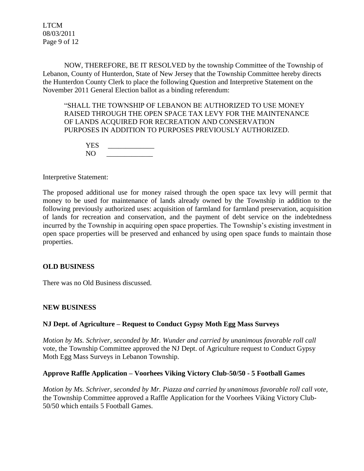LTCM 08/03/2011 Page 9 of 12

NOW, THEREFORE, BE IT RESOLVED by the township Committee of the Township of Lebanon, County of Hunterdon, State of New Jersey that the Township Committee hereby directs the Hunterdon County Clerk to place the following Question and Interpretive Statement on the November 2011 General Election ballot as a binding referendum:

"SHALL THE TOWNSHIP OF LEBANON BE AUTHORIZED TO USE MONEY RAISED THROUGH THE OPEN SPACE TAX LEVY FOR THE MAINTENANCE OF LANDS ACQUIRED FOR RECREATION AND CONSERVATION PURPOSES IN ADDITION TO PURPOSES PREVIOUSLY AUTHORIZED.

| YES |  |
|-----|--|
| NO. |  |

Interpretive Statement:

The proposed additional use for money raised through the open space tax levy will permit that money to be used for maintenance of lands already owned by the Township in addition to the following previously authorized uses: acquisition of farmland for farmland preservation, acquisition of lands for recreation and conservation, and the payment of debt service on the indebtedness incurred by the Township in acquiring open space properties. The Township's existing investment in open space properties will be preserved and enhanced by using open space funds to maintain those properties.

### **OLD BUSINESS**

There was no Old Business discussed.

### **NEW BUSINESS**

### **NJ Dept. of Agriculture – Request to Conduct Gypsy Moth Egg Mass Surveys**

*Motion by Ms. Schriver, seconded by Mr. Wunder and carried by unanimous favorable roll call* vote, the Township Committee approved the NJ Dept. of Agriculture request to Conduct Gypsy Moth Egg Mass Surveys in Lebanon Township.

#### **Approve Raffle Application – Voorhees Viking Victory Club-50/50 - 5 Football Games**

*Motion by Ms. Schriver, seconded by Mr. Piazza and carried by unanimous favorable roll call vote,* the Township Committee approved a Raffle Application for the Voorhees Viking Victory Club-50/50 which entails 5 Football Games.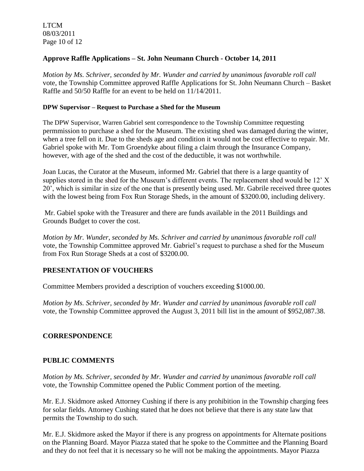# **Approve Raffle Applications – St. John Neumann Church - October 14, 2011**

*Motion by Ms. Schriver, seconded by Mr. Wunder and carried by unanimous favorable roll call* vote, the Township Committee approved Raffle Applications for St. John Neumann Church – Basket Raffle and 50/50 Raffle for an event to be held on 11/14/2011.

### **DPW Supervisor – Request to Purchase a Shed for the Museum**

The DPW Supervisor, Warren Gabriel sent correspondence to the Township Committee requesting permmission to purchase a shed for the Museum. The existing shed was damaged during the winter, when a tree fell on it. Due to the sheds age and condition it would not be cost effective to repair. Mr. Gabriel spoke with Mr. Tom Groendyke about filing a claim through the Insurance Company, however, with age of the shed and the cost of the deductible, it was not worthwhile.

Joan Lucas, the Curator at the Museum, informed Mr. Gabriel that there is a large quantity of supplies stored in the shed for the Museum's different events. The replacement shed would be 12' X 20', which is similar in size of the one that is presently being used. Mr. Gabrile received three quotes with the lowest being from Fox Run Storage Sheds, in the amount of \$3200.00, including delivery.

Mr. Gabiel spoke with the Treasurer and there are funds available in the 2011 Buildings and Grounds Budget to cover the cost.

*Motion by Mr. Wunder, seconded by Ms. Schriver and carried by unanimous favorable roll call* vote, the Township Committee approved Mr. Gabriel's request to purchase a shed for the Museum from Fox Run Storage Sheds at a cost of \$3200.00.

# **PRESENTATION OF VOUCHERS**

Committee Members provided a description of vouchers exceeding \$1000.00.

*Motion by Ms. Schriver, seconded by Mr. Wunder and carried by unanimous favorable roll call*  vote, the Township Committee approved the August 3, 2011 bill list in the amount of \$952,087.38.

## **CORRESPONDENCE**

## **PUBLIC COMMENTS**

*Motion by Ms. Schriver, seconded by Mr. Wunder and carried by unanimous favorable roll call*  vote, the Township Committee opened the Public Comment portion of the meeting.

Mr. E.J. Skidmore asked Attorney Cushing if there is any prohibition in the Township charging fees for solar fields. Attorney Cushing stated that he does not believe that there is any state law that permits the Township to do such.

Mr. E.J. Skidmore asked the Mayor if there is any progress on appointments for Alternate positions on the Planning Board. Mayor Piazza stated that he spoke to the Committee and the Planning Board and they do not feel that it is necessary so he will not be making the appointments. Mayor Piazza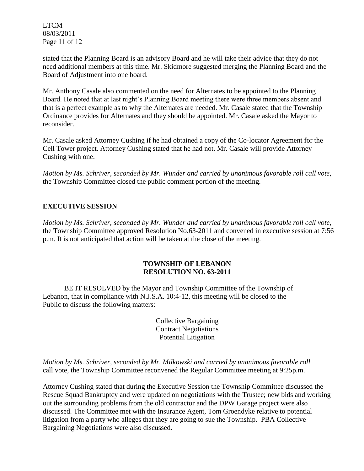LTCM 08/03/2011 Page 11 of 12

stated that the Planning Board is an advisory Board and he will take their advice that they do not need additional members at this time. Mr. Skidmore suggested merging the Planning Board and the Board of Adjustment into one board.

Mr. Anthony Casale also commented on the need for Alternates to be appointed to the Planning Board. He noted that at last night's Planning Board meeting there were three members absent and that is a perfect example as to why the Alternates are needed. Mr. Casale stated that the Township Ordinance provides for Alternates and they should be appointed. Mr. Casale asked the Mayor to reconsider.

Mr. Casale asked Attorney Cushing if he had obtained a copy of the Co-locator Agreement for the Cell Tower project. Attorney Cushing stated that he had not. Mr. Casale will provide Attorney Cushing with one.

*Motion by Ms. Schriver, seconded by Mr. Wunder and carried by unanimous favorable roll call vote,* the Township Committee closed the public comment portion of the meeting.

# **EXECUTIVE SESSION**

*Motion by Ms. Schriver, seconded by Mr. Wunder and carried by unanimous favorable roll call vote,* the Township Committee approved Resolution No.63-2011 and convened in executive session at 7:56 p.m. It is not anticipated that action will be taken at the close of the meeting.

## **TOWNSHIP OF LEBANON RESOLUTION NO. 63-2011**

BE IT RESOLVED by the Mayor and Township Committee of the Township of Lebanon, that in compliance with N.J.S.A. 10:4-12, this meeting will be closed to the Public to discuss the following matters:

> Collective Bargaining Contract Negotiations Potential Litigation

*Motion by Ms. Schriver, seconded by Mr. Milkowski and carried by unanimous favorable roll*  call vote, the Township Committee reconvened the Regular Committee meeting at 9:25p.m.

Attorney Cushing stated that during the Executive Session the Township Committee discussed the Rescue Squad Bankruptcy and were updated on negotiations with the Trustee; new bids and working out the surrounding problems from the old contractor and the DPW Garage project were also discussed. The Committee met with the Insurance Agent, Tom Groendyke relative to potential litigation from a party who alleges that they are going to sue the Township. PBA Collective Bargaining Negotiations were also discussed.